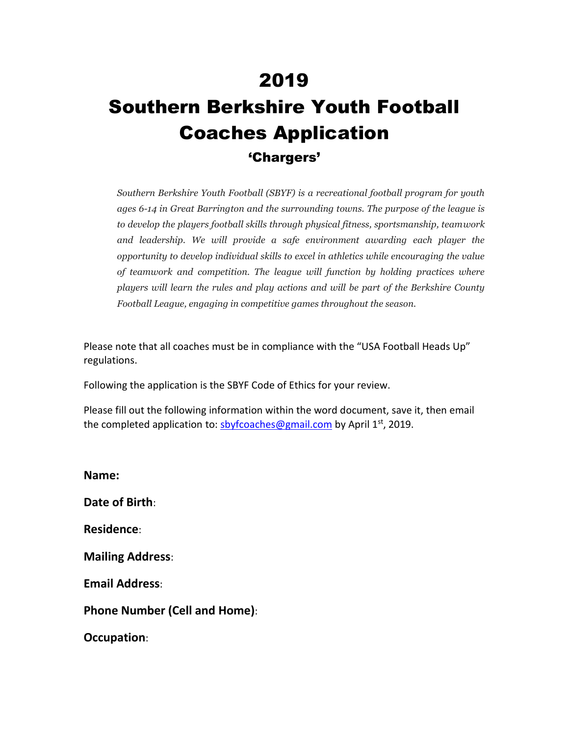## 2019 Southern Berkshire Youth Football Coaches Application 'Chargers'

*Southern Berkshire Youth Football (SBYF) is a recreational football program for youth ages 6-14 in Great Barrington and the surrounding towns. The purpose of the league is to develop the players football skills through physical fitness, sportsmanship, teamwork and leadership. We will provide a safe environment awarding each player the opportunity to develop individual skills to excel in athletics while encouraging the value of teamwork and competition. The league will function by holding practices where players will learn the rules and play actions and will be part of the Berkshire County Football League, engaging in competitive games throughout the season.*

Please note that all coaches must be in compliance with the "USA Football Heads Up" regulations.

Following the application is the SBYF Code of Ethics for your review.

Please fill out the following information within the word document, save it, then email the completed application to: **sbyfcoaches@gmail.com** by April 1<sup>st</sup>, 2019.

**Name: Date of Birth**: **Residence**: **Mailing Address**: **Email Address**: **Phone Number (Cell and Home)**: **Occupation**: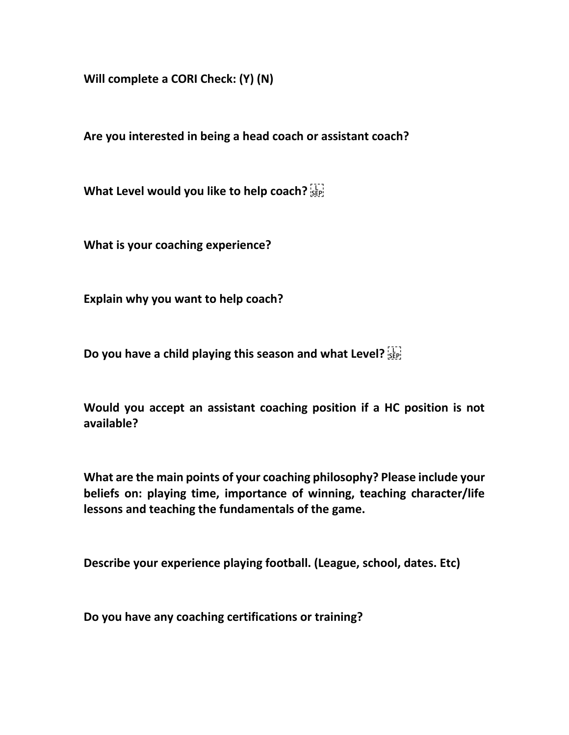**Will complete a CORI Check: (Y) (N)**

**Are you interested in being a head coach or assistant coach?**

**What Level would you like to help coach?** 

**What is your coaching experience?**

**Explain why you want to help coach?**

**Do you have a child playing this season and what Level?** 

**Would you accept an assistant coaching position if a HC position is not available?**

**What are the main points of your coaching philosophy? Please include your beliefs on: playing time, importance of winning, teaching character/life lessons and teaching the fundamentals of the game.**

**Describe your experience playing football. (League, school, dates. Etc)**

**Do you have any coaching certifications or training?**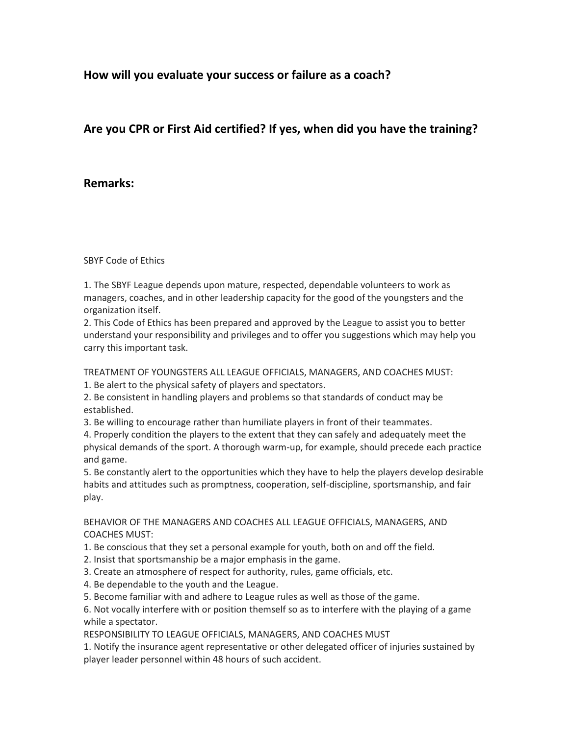**How will you evaluate your success or failure as a coach?**

## **Are you CPR or First Aid certified? If yes, when did you have the training?**

## **Remarks:**

SBYF Code of Ethics

1. The SBYF League depends upon mature, respected, dependable volunteers to work as managers, coaches, and in other leadership capacity for the good of the youngsters and the organization itself.

2. This Code of Ethics has been prepared and approved by the League to assist you to better understand your responsibility and privileges and to offer you suggestions which may help you carry this important task.

TREATMENT OF YOUNGSTERS ALL LEAGUE OFFICIALS, MANAGERS, AND COACHES MUST:

1. Be alert to the physical safety of players and spectators.

2. Be consistent in handling players and problems so that standards of conduct may be established.

3. Be willing to encourage rather than humiliate players in front of their teammates.

4. Properly condition the players to the extent that they can safely and adequately meet the physical demands of the sport. A thorough warm-up, for example, should precede each practice and game.

5. Be constantly alert to the opportunities which they have to help the players develop desirable habits and attitudes such as promptness, cooperation, self-discipline, sportsmanship, and fair play.

BEHAVIOR OF THE MANAGERS AND COACHES ALL LEAGUE OFFICIALS, MANAGERS, AND COACHES MUST:

1. Be conscious that they set a personal example for youth, both on and off the field.

2. Insist that sportsmanship be a major emphasis in the game.

3. Create an atmosphere of respect for authority, rules, game officials, etc.

4. Be dependable to the youth and the League.

5. Become familiar with and adhere to League rules as well as those of the game.

6. Not vocally interfere with or position themself so as to interfere with the playing of a game while a spectator.

RESPONSIBILITY TO LEAGUE OFFICIALS, MANAGERS, AND COACHES MUST

1. Notify the insurance agent representative or other delegated officer of injuries sustained by player leader personnel within 48 hours of such accident.